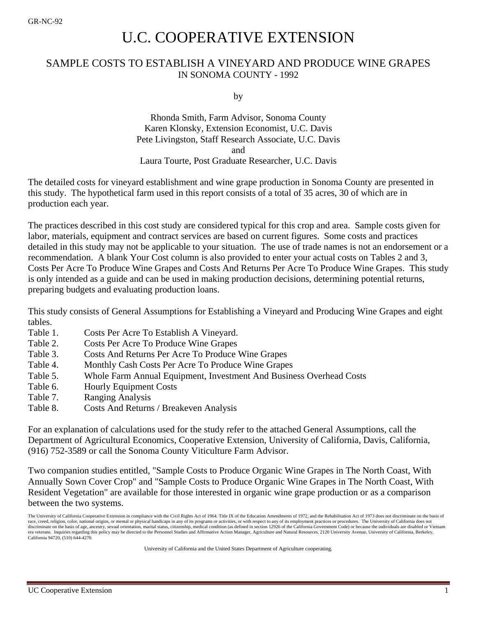# U.C. COOPERATIVE EXTENSION

## SAMPLE COSTS TO ESTABLISH A VINEYARD AND PRODUCE WINE GRAPES IN SONOMA COUNTY - 1992

by

Rhonda Smith, Farm Advisor, Sonoma County Karen Klonsky, Extension Economist, U.C. Davis Pete Livingston, Staff Research Associate, U.C. Davis and Laura Tourte, Post Graduate Researcher, U.C. Davis

The detailed costs for vineyard establishment and wine grape production in Sonoma County are presented in this study. The hypothetical farm used in this report consists of a total of 35 acres, 30 of which are in production each year.

The practices described in this cost study are considered typical for this crop and area. Sample costs given for labor, materials, equipment and contract services are based on current figures. Some costs and practices detailed in this study may not be applicable to your situation. The use of trade names is not an endorsement or a recommendation. A blank Your Cost column is also provided to enter your actual costs on Tables 2 and 3, Costs Per Acre To Produce Wine Grapes and Costs And Returns Per Acre To Produce Wine Grapes. This study is only intended as a guide and can be used in making production decisions, determining potential returns, preparing budgets and evaluating production loans.

This study consists of General Assumptions for Establishing a Vineyard and Producing Wine Grapes and eight tables.

- Table 1. Costs Per Acre To Establish A Vineyard.
- Table 2. Costs Per Acre To Produce Wine Grapes
- Table 3. Costs And Returns Per Acre To Produce Wine Grapes
- Table 4. Monthly Cash Costs Per Acre To Produce Wine Grapes
- Table 5. Whole Farm Annual Equipment, Investment And Business Overhead Costs
- Table 6. Hourly Equipment Costs
- Table 7. Ranging Analysis
- Table 8. Costs And Returns / Breakeven Analysis

For an explanation of calculations used for the study refer to the attached General Assumptions, call the Department of Agricultural Economics, Cooperative Extension, University of California, Davis, California, (916) 752-3589 or call the Sonoma County Viticulture Farm Advisor.

Two companion studies entitled, "Sample Costs to Produce Organic Wine Grapes in The North Coast, With Annually Sown Cover Crop" and "Sample Costs to Produce Organic Wine Grapes in The North Coast, With Resident Vegetation" are available for those interested in organic wine grape production or as a comparison between the two systems.

University of California and the United States Department of Agriculture cooperating.

The University of California Cooperative Extension in compliance with the Civil Rights Act of 1964. Title IX of the Education Amendments of 1972, and the Rehabilitation Act of 1973 does not discriminate on the basis of race, creed, religion, color, national origins, or mental or physical handicaps in any of its programs or activities, or with respect to any of its employment practices or procedures. The University of California does not discriminate on the basis of age, ancestry, sexual orientation, marital status, citizenship, medical condition (as defined in section 12926 of the California Government Code) or because the individuals are disabled or Viet era veterans. Inquiries regarding this policy may be directed to the Personnel Studies and Affirmative Action Manager, Agriculture and Natural Resources, 2120 University Avenue, University of California, Berkeley, California 94720, (510) 644-4270.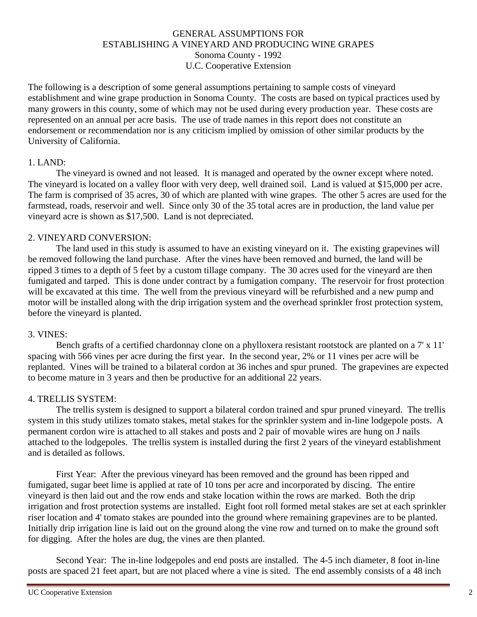#### GENERAL ASSUMPTIONS FOR ESTABLISHING A VINEYARD AND PRODUCING WINE GRAPES Sonoma County - 1992 U.C. Cooperative Extension

The following is a description of some general assumptions pertaining to sample costs of vineyard establishment and wine grape production in Sonoma County. The costs are based on typical practices used by many growers in this county, some of which may not be used during every production year. These costs are represented on an annual per acre basis. The use of trade names in this report does not constitute an endorsement or recommendation nor is any criticism implied by omission of other similar products by the University of California.

#### 1. LAND:

The vineyard is owned and not leased. It is managed and operated by the owner except where noted. The vineyard is located on a valley floor with very deep, well drained soil. Land is valued at \$15,000 per acre. The farm is comprised of 35 acres, 30 of which are planted with wine grapes. The other 5 acres are used for the farmstead, roads, reservoir and well. Since only 30 of the 35 total acres are in production, the land value per vineyard acre is shown as \$17,500. Land is not depreciated.

#### 2. VINEYARD CONVERSION:

The land used in this study is assumed to have an existing vineyard on it. The existing grapevines will be removed following the land purchase. After the vines have been removed and burned, the land will be ripped 3 times to a depth of 5 feet by a custom tillage company. The 30 acres used for the vineyard are then fumigated and tarped. This is done under contract by a fumigation company. The reservoir for frost protection will be excavated at this time. The well from the previous vineyard will be refurbished and a new pump and motor will be installed along with the drip irrigation system and the overhead sprinkler frost protection system, before the vineyard is planted.

#### 3. VINES:

Bench grafts of a certified chardonnay clone on a phylloxera resistant rootstock are planted on a 7' x 11' spacing with 566 vines per acre during the first year. In the second year, 2% or 11 vines per acre will be replanted. Vines will be trained to a bilateral cordon at 36 inches and spur pruned. The grapevines are expected to become mature in 3 years and then be productive for an additional 22 years.

#### 4. TRELLIS SYSTEM:

The trellis system is designed to support a bilateral cordon trained and spur pruned vineyard. The trellis system in this study utilizes tomato stakes, metal stakes for the sprinkler system and in-line lodgepole posts. A permanent cordon wire is attached to all stakes and posts and 2 pair of movable wires are hung on J nails attached to the lodgepoles. The trellis system is installed during the first 2 years of the vineyard establishment and is detailed as follows.

First Year: After the previous vineyard has been removed and the ground has been ripped and fumigated, sugar beet lime is applied at rate of 10 tons per acre and incorporated by discing. The entire vineyard is then laid out and the row ends and stake location within the rows are marked. Both the drip irrigation and frost protection systems are installed. Eight foot roll formed metal stakes are set at each sprinkler riser location and 4' tomato stakes are pounded into the ground where remaining grapevines are to be planted. Initially drip irrigation line is laid out on the ground along the vine row and turned on to make the ground soft for digging. After the holes are dug, the vines are then planted.

Second Year: The in-line lodgepoles and end posts are installed. The 4-5 inch diameter, 8 foot in-line posts are spaced 21 feet apart, but are not placed where a vine is sited. The end assembly consists of a 48 inch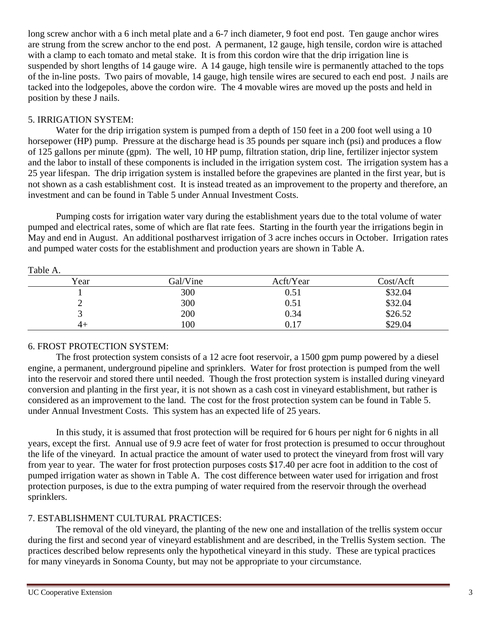long screw anchor with a 6 inch metal plate and a 6-7 inch diameter, 9 foot end post. Ten gauge anchor wires are strung from the screw anchor to the end post. A permanent, 12 gauge, high tensile, cordon wire is attached with a clamp to each tomato and metal stake. It is from this cordon wire that the drip irrigation line is suspended by short lengths of 14 gauge wire. A 14 gauge, high tensile wire is permanently attached to the tops of the in-line posts. Two pairs of movable, 14 gauge, high tensile wires are secured to each end post. J nails are tacked into the lodgepoles, above the cordon wire. The 4 movable wires are moved up the posts and held in position by these J nails.

#### 5. IRRIGATION SYSTEM:

Water for the drip irrigation system is pumped from a depth of 150 feet in a 200 foot well using a 10 horsepower (HP) pump. Pressure at the discharge head is 35 pounds per square inch (psi) and produces a flow of 125 gallons per minute (gpm). The well, 10 HP pump, filtration station, drip line, fertilizer injector system and the labor to install of these components is included in the irrigation system cost. The irrigation system has a 25 year lifespan. The drip irrigation system is installed before the grapevines are planted in the first year, but is not shown as a cash establishment cost. It is instead treated as an improvement to the property and therefore, an investment and can be found in Table 5 under Annual Investment Costs.

Pumping costs for irrigation water vary during the establishment years due to the total volume of water pumped and electrical rates, some of which are flat rate fees. Starting in the fourth year the irrigations begin in May and end in August. An additional postharvest irrigation of 3 acre inches occurs in October. Irrigation rates and pumped water costs for the establishment and production years are shown in Table A.

| ------- |          |           |           |
|---------|----------|-----------|-----------|
| Year    | Gal/Vine | Acft/Year | Cost/Acft |
|         | 300      | 0.51      | \$32.04   |
|         | 300      | 0.51      | \$32.04   |
|         | 200      | 0.34      | \$26.52   |
| 4+      | 100      | 0.17      | \$29.04   |

Table A.

## 6. FROST PROTECTION SYSTEM:

The frost protection system consists of a 12 acre foot reservoir, a 1500 gpm pump powered by a diesel engine, a permanent, underground pipeline and sprinklers. Water for frost protection is pumped from the well into the reservoir and stored there until needed. Though the frost protection system is installed during vineyard conversion and planting in the first year, it is not shown as a cash cost in vineyard establishment, but rather is considered as an improvement to the land. The cost for the frost protection system can be found in Table 5. under Annual Investment Costs. This system has an expected life of 25 years.

In this study, it is assumed that frost protection will be required for 6 hours per night for 6 nights in all years, except the first. Annual use of 9.9 acre feet of water for frost protection is presumed to occur throughout the life of the vineyard. In actual practice the amount of water used to protect the vineyard from frost will vary from year to year. The water for frost protection purposes costs \$17.40 per acre foot in addition to the cost of pumped irrigation water as shown in Table A. The cost difference between water used for irrigation and frost protection purposes, is due to the extra pumping of water required from the reservoir through the overhead sprinklers.

## 7. ESTABLISHMENT CULTURAL PRACTICES:

The removal of the old vineyard, the planting of the new one and installation of the trellis system occur during the first and second year of vineyard establishment and are described, in the Trellis System section. The practices described below represents only the hypothetical vineyard in this study. These are typical practices for many vineyards in Sonoma County, but may not be appropriate to your circumstance.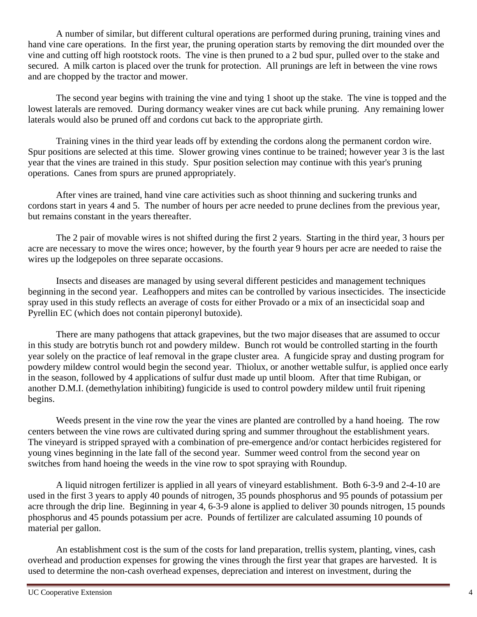A number of similar, but different cultural operations are performed during pruning, training vines and hand vine care operations. In the first year, the pruning operation starts by removing the dirt mounded over the vine and cutting off high rootstock roots. The vine is then pruned to a 2 bud spur, pulled over to the stake and secured. A milk carton is placed over the trunk for protection. All prunings are left in between the vine rows and are chopped by the tractor and mower.

The second year begins with training the vine and tying 1 shoot up the stake. The vine is topped and the lowest laterals are removed. During dormancy weaker vines are cut back while pruning. Any remaining lower laterals would also be pruned off and cordons cut back to the appropriate girth.

Training vines in the third year leads off by extending the cordons along the permanent cordon wire. Spur positions are selected at this time. Slower growing vines continue to be trained; however year 3 is the last year that the vines are trained in this study. Spur position selection may continue with this year's pruning operations. Canes from spurs are pruned appropriately.

After vines are trained, hand vine care activities such as shoot thinning and suckering trunks and cordons start in years 4 and 5. The number of hours per acre needed to prune declines from the previous year, but remains constant in the years thereafter.

The 2 pair of movable wires is not shifted during the first 2 years. Starting in the third year, 3 hours per acre are necessary to move the wires once; however, by the fourth year 9 hours per acre are needed to raise the wires up the lodgepoles on three separate occasions.

Insects and diseases are managed by using several different pesticides and management techniques beginning in the second year. Leafhoppers and mites can be controlled by various insecticides. The insecticide spray used in this study reflects an average of costs for either Provado or a mix of an insecticidal soap and Pyrellin EC (which does not contain piperonyl butoxide).

There are many pathogens that attack grapevines, but the two major diseases that are assumed to occur in this study are botrytis bunch rot and powdery mildew. Bunch rot would be controlled starting in the fourth year solely on the practice of leaf removal in the grape cluster area. A fungicide spray and dusting program for powdery mildew control would begin the second year. Thiolux, or another wettable sulfur, is applied once early in the season, followed by 4 applications of sulfur dust made up until bloom. After that time Rubigan, or another D.M.I. (demethylation inhibiting) fungicide is used to control powdery mildew until fruit ripening begins.

Weeds present in the vine row the year the vines are planted are controlled by a hand hoeing. The row centers between the vine rows are cultivated during spring and summer throughout the establishment years. The vineyard is stripped sprayed with a combination of pre-emergence and/or contact herbicides registered for young vines beginning in the late fall of the second year. Summer weed control from the second year on switches from hand hoeing the weeds in the vine row to spot spraying with Roundup.

A liquid nitrogen fertilizer is applied in all years of vineyard establishment. Both 6-3-9 and 2-4-10 are used in the first 3 years to apply 40 pounds of nitrogen, 35 pounds phosphorus and 95 pounds of potassium per acre through the drip line. Beginning in year 4, 6-3-9 alone is applied to deliver 30 pounds nitrogen, 15 pounds phosphorus and 45 pounds potassium per acre. Pounds of fertilizer are calculated assuming 10 pounds of material per gallon.

An establishment cost is the sum of the costs for land preparation, trellis system, planting, vines, cash overhead and production expenses for growing the vines through the first year that grapes are harvested. It is used to determine the non-cash overhead expenses, depreciation and interest on investment, during the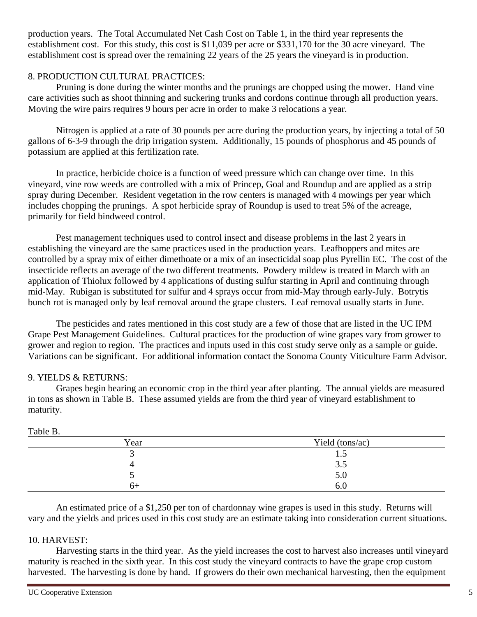production years. The Total Accumulated Net Cash Cost on Table 1, in the third year represents the establishment cost. For this study, this cost is \$11,039 per acre or \$331,170 for the 30 acre vineyard. The establishment cost is spread over the remaining 22 years of the 25 years the vineyard is in production.

### 8. PRODUCTION CULTURAL PRACTICES:

Pruning is done during the winter months and the prunings are chopped using the mower. Hand vine care activities such as shoot thinning and suckering trunks and cordons continue through all production years. Moving the wire pairs requires 9 hours per acre in order to make 3 relocations a year.

Nitrogen is applied at a rate of 30 pounds per acre during the production years, by injecting a total of 50 gallons of 6-3-9 through the drip irrigation system. Additionally, 15 pounds of phosphorus and 45 pounds of potassium are applied at this fertilization rate.

In practice, herbicide choice is a function of weed pressure which can change over time. In this vineyard, vine row weeds are controlled with a mix of Princep, Goal and Roundup and are applied as a strip spray during December. Resident vegetation in the row centers is managed with 4 mowings per year which includes chopping the prunings. A spot herbicide spray of Roundup is used to treat 5% of the acreage, primarily for field bindweed control.

Pest management techniques used to control insect and disease problems in the last 2 years in establishing the vineyard are the same practices used in the production years. Leafhoppers and mites are controlled by a spray mix of either dimethoate or a mix of an insecticidal soap plus Pyrellin EC. The cost of the insecticide reflects an average of the two different treatments. Powdery mildew is treated in March with an application of Thiolux followed by 4 applications of dusting sulfur starting in April and continuing through mid-May. Rubigan is substituted for sulfur and 4 sprays occur from mid-May through early-July. Botrytis bunch rot is managed only by leaf removal around the grape clusters. Leaf removal usually starts in June.

The pesticides and rates mentioned in this cost study are a few of those that are listed in the UC IPM Grape Pest Management Guidelines. Cultural practices for the production of wine grapes vary from grower to grower and region to region. The practices and inputs used in this cost study serve only as a sample or guide. Variations can be significant. For additional information contact the Sonoma County Viticulture Farm Advisor.

## 9. YIELDS & RETURNS:

Grapes begin bearing an economic crop in the third year after planting. The annual yields are measured in tons as shown in Table B. These assumed yields are from the third year of vineyard establishment to maturity.

| -------- |                 |
|----------|-----------------|
| Year     | Yield (tons/ac) |
|          | $\cdot$         |
|          | າ ະ<br>3.5      |
|          | 5.0             |
| $n+$     | 0.U             |

Table B.

An estimated price of a \$1,250 per ton of chardonnay wine grapes is used in this study. Returns will vary and the yields and prices used in this cost study are an estimate taking into consideration current situations.

#### 10. HARVEST:

Harvesting starts in the third year. As the yield increases the cost to harvest also increases until vineyard maturity is reached in the sixth year. In this cost study the vineyard contracts to have the grape crop custom harvested. The harvesting is done by hand. If growers do their own mechanical harvesting, then the equipment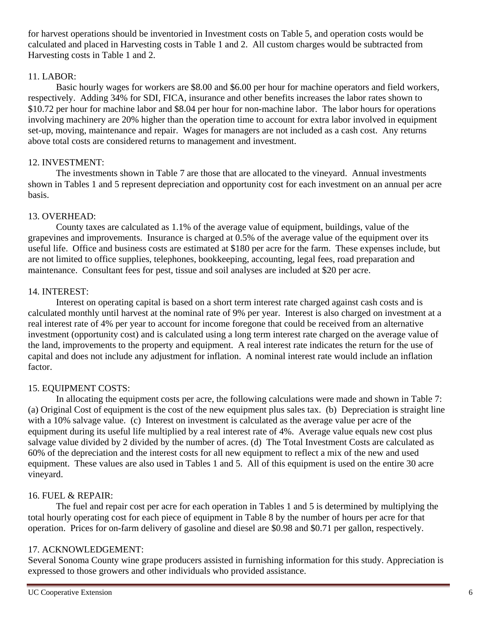for harvest operations should be inventoried in Investment costs on Table 5, and operation costs would be calculated and placed in Harvesting costs in Table 1 and 2. All custom charges would be subtracted from Harvesting costs in Table 1 and 2.

### 11. LABOR:

Basic hourly wages for workers are \$8.00 and \$6.00 per hour for machine operators and field workers, respectively. Adding 34% for SDI, FICA, insurance and other benefits increases the labor rates shown to \$10.72 per hour for machine labor and \$8.04 per hour for non-machine labor. The labor hours for operations involving machinery are 20% higher than the operation time to account for extra labor involved in equipment set-up, moving, maintenance and repair. Wages for managers are not included as a cash cost. Any returns above total costs are considered returns to management and investment.

### 12. INVESTMENT:

The investments shown in Table 7 are those that are allocated to the vineyard. Annual investments shown in Tables 1 and 5 represent depreciation and opportunity cost for each investment on an annual per acre basis.

## 13. OVERHEAD:

County taxes are calculated as 1.1% of the average value of equipment, buildings, value of the grapevines and improvements. Insurance is charged at 0.5% of the average value of the equipment over its useful life. Office and business costs are estimated at \$180 per acre for the farm. These expenses include, but are not limited to office supplies, telephones, bookkeeping, accounting, legal fees, road preparation and maintenance. Consultant fees for pest, tissue and soil analyses are included at \$20 per acre.

### 14. INTEREST:

Interest on operating capital is based on a short term interest rate charged against cash costs and is calculated monthly until harvest at the nominal rate of 9% per year. Interest is also charged on investment at a real interest rate of 4% per year to account for income foregone that could be received from an alternative investment (opportunity cost) and is calculated using a long term interest rate charged on the average value of the land, improvements to the property and equipment. A real interest rate indicates the return for the use of capital and does not include any adjustment for inflation. A nominal interest rate would include an inflation factor.

#### 15. EQUIPMENT COSTS:

In allocating the equipment costs per acre, the following calculations were made and shown in Table 7: (a) Original Cost of equipment is the cost of the new equipment plus sales tax. (b) Depreciation is straight line with a 10% salvage value. (c) Interest on investment is calculated as the average value per acre of the equipment during its useful life multiplied by a real interest rate of 4%. Average value equals new cost plus salvage value divided by 2 divided by the number of acres. (d) The Total Investment Costs are calculated as 60% of the depreciation and the interest costs for all new equipment to reflect a mix of the new and used equipment. These values are also used in Tables 1 and 5. All of this equipment is used on the entire 30 acre vineyard.

#### 16. FUEL & REPAIR:

The fuel and repair cost per acre for each operation in Tables 1 and 5 is determined by multiplying the total hourly operating cost for each piece of equipment in Table 8 by the number of hours per acre for that operation. Prices for on-farm delivery of gasoline and diesel are \$0.98 and \$0.71 per gallon, respectively.

#### 17. ACKNOWLEDGEMENT:

Several Sonoma County wine grape producers assisted in furnishing information for this study. Appreciation is expressed to those growers and other individuals who provided assistance.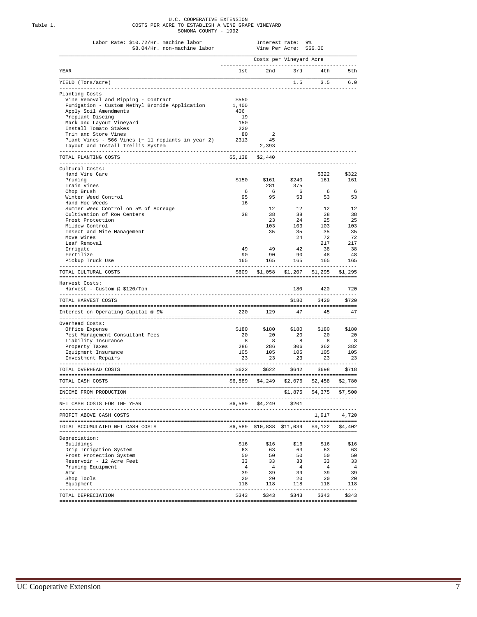|          | U.C. COOPERATIVE EXTENSION                        |
|----------|---------------------------------------------------|
| Table 1. | COSTS PER ACRE TO ESTABLISH A WINE GRAPE VINEYARD |
|          | SONOMA COUNTY - 1992                              |

| Costs per Vineyard Acre<br>YEAR<br>1st 2nd 3rd 4th<br>YIELD (Tons/acre)<br>$1.5$ $3.5$ $6.0$<br>Planting Costs<br>Vine Removal and Ripping - Contract<br>\$550<br>Fumigation - Custom Methyl Bromide Application<br>1,400<br>Apply Soil Amendments<br>406<br>Preplant Discing<br>19<br>Mark and Layout Vineyard<br>150<br>220<br>Install Tomato Stakes<br>Trim and Store Vines<br>80<br>2<br>Plant Vines - 566 Vines (+ 11 replants in year 2)<br>2313<br>45<br>Layout and Install Trellis System<br>2,393<br>TOTAL PLANTING COSTS<br>\$5,138 \$2,440<br>Cultural Costs:<br>Hand Vine Care<br>\$150<br>\$161 \$240<br>Pruning<br>281<br>375<br>Train Vines<br>6 <sup>6</sup><br>Chop Brush<br>6<br>6<br>53 53 53<br>95<br>95<br>Winter Weed Control<br>Hand Hoe Weeds<br>16<br>Summer Weed Control on 5% of Acreage<br>12<br>12<br>38<br>Cultivation of Row Centers<br>38<br>38<br>Frost Protection<br>23<br>24<br>103<br>Mildew Control<br>103<br>Insect and Mite Management<br>35<br>35<br>Move Wires<br>24<br>Leaf Removal<br>42<br>49<br>- 49<br>Irrigate<br>90<br>90<br>Fertilize<br>90<br>165<br>165<br>165<br>Pickup Truck Use<br>---------------<br>TOTAL CULTURAL COSTS<br>$$609$ $$1,058$ $$1,207$ $$1,295$ $$1,295$<br>Harvest Costs:<br>Harvest - Custom @ \$120/Ton<br>180<br>_____________________________________<br>----------<br>\$180 \$420 \$720<br>TOTAL HARVEST COSTS<br>220 129 47 45 47<br>Interest on Operating Capital @ 9%<br>Overhead Costs:<br>\$180<br>\$180 \$180 \$180 \$180<br>Office Expense<br>Pest Management Consultant Fees<br>20<br>20<br>20<br>8<br>8 <sup>8</sup><br>8 <sup>8</sup><br>Liability Insurance<br>286<br>306<br>Property Taxes<br>286<br>105<br>105<br>Equipment Insurance<br>105<br>Investment Repairs<br>23<br>23<br>23<br>\$622 \$622 \$642 \$698 \$718<br>TOTAL OVERHEAD COSTS<br>$$6,589$ $$4,249$ $$2,076$ $$2,458$ $$2,780$<br>TOTAL CASH COSTS<br>-------------------<br>$$1,875$ $$4,375$<br>INCOME FROM PRODUCTION<br>\$6,589 \$4,249 \$201<br>NET CASH COSTS FOR THE YEAR<br>PROFIT ABOVE CASH COSTS<br>TOTAL ACCUMULATED NET CASH COSTS<br>\$6,589 \$10,838 \$11,039 \$9,122 \$4,402<br>Depreciation:<br>\$16<br>Buildings<br>\$16<br>\$16<br>Drip Irrigation System<br>63<br>63<br>63<br>Frost Protection System<br>50<br>50<br>50<br>Reservoir - 12 Acre Feet<br>33<br>33<br>33<br>$\overline{4}$<br>$\overline{4}$<br>4<br>Pruning Equipment<br>39<br>39<br>39<br>ATV<br>20<br>Shop Tools<br>20<br>20<br>Equipment<br>118<br>118<br>118 | \$8.04/Hr. non-machine labor | Vine Per Acre: 566.00 |                        |
|------------------------------------------------------------------------------------------------------------------------------------------------------------------------------------------------------------------------------------------------------------------------------------------------------------------------------------------------------------------------------------------------------------------------------------------------------------------------------------------------------------------------------------------------------------------------------------------------------------------------------------------------------------------------------------------------------------------------------------------------------------------------------------------------------------------------------------------------------------------------------------------------------------------------------------------------------------------------------------------------------------------------------------------------------------------------------------------------------------------------------------------------------------------------------------------------------------------------------------------------------------------------------------------------------------------------------------------------------------------------------------------------------------------------------------------------------------------------------------------------------------------------------------------------------------------------------------------------------------------------------------------------------------------------------------------------------------------------------------------------------------------------------------------------------------------------------------------------------------------------------------------------------------------------------------------------------------------------------------------------------------------------------------------------------------------------------------------------------------------------------------------------------------------------------------------------------------------------------------------------------------------------------------------------------------------------------------------------------------------------------------------------------------------------------------------------------------------------------------------------------------|------------------------------|-----------------------|------------------------|
|                                                                                                                                                                                                                                                                                                                                                                                                                                                                                                                                                                                                                                                                                                                                                                                                                                                                                                                                                                                                                                                                                                                                                                                                                                                                                                                                                                                                                                                                                                                                                                                                                                                                                                                                                                                                                                                                                                                                                                                                                                                                                                                                                                                                                                                                                                                                                                                                                                                                                                            |                              |                       |                        |
|                                                                                                                                                                                                                                                                                                                                                                                                                                                                                                                                                                                                                                                                                                                                                                                                                                                                                                                                                                                                                                                                                                                                                                                                                                                                                                                                                                                                                                                                                                                                                                                                                                                                                                                                                                                                                                                                                                                                                                                                                                                                                                                                                                                                                                                                                                                                                                                                                                                                                                            |                              |                       |                        |
|                                                                                                                                                                                                                                                                                                                                                                                                                                                                                                                                                                                                                                                                                                                                                                                                                                                                                                                                                                                                                                                                                                                                                                                                                                                                                                                                                                                                                                                                                                                                                                                                                                                                                                                                                                                                                                                                                                                                                                                                                                                                                                                                                                                                                                                                                                                                                                                                                                                                                                            |                              |                       |                        |
|                                                                                                                                                                                                                                                                                                                                                                                                                                                                                                                                                                                                                                                                                                                                                                                                                                                                                                                                                                                                                                                                                                                                                                                                                                                                                                                                                                                                                                                                                                                                                                                                                                                                                                                                                                                                                                                                                                                                                                                                                                                                                                                                                                                                                                                                                                                                                                                                                                                                                                            |                              |                       |                        |
|                                                                                                                                                                                                                                                                                                                                                                                                                                                                                                                                                                                                                                                                                                                                                                                                                                                                                                                                                                                                                                                                                                                                                                                                                                                                                                                                                                                                                                                                                                                                                                                                                                                                                                                                                                                                                                                                                                                                                                                                                                                                                                                                                                                                                                                                                                                                                                                                                                                                                                            |                              |                       |                        |
|                                                                                                                                                                                                                                                                                                                                                                                                                                                                                                                                                                                                                                                                                                                                                                                                                                                                                                                                                                                                                                                                                                                                                                                                                                                                                                                                                                                                                                                                                                                                                                                                                                                                                                                                                                                                                                                                                                                                                                                                                                                                                                                                                                                                                                                                                                                                                                                                                                                                                                            |                              |                       |                        |
|                                                                                                                                                                                                                                                                                                                                                                                                                                                                                                                                                                                                                                                                                                                                                                                                                                                                                                                                                                                                                                                                                                                                                                                                                                                                                                                                                                                                                                                                                                                                                                                                                                                                                                                                                                                                                                                                                                                                                                                                                                                                                                                                                                                                                                                                                                                                                                                                                                                                                                            |                              |                       |                        |
|                                                                                                                                                                                                                                                                                                                                                                                                                                                                                                                                                                                                                                                                                                                                                                                                                                                                                                                                                                                                                                                                                                                                                                                                                                                                                                                                                                                                                                                                                                                                                                                                                                                                                                                                                                                                                                                                                                                                                                                                                                                                                                                                                                                                                                                                                                                                                                                                                                                                                                            |                              |                       |                        |
|                                                                                                                                                                                                                                                                                                                                                                                                                                                                                                                                                                                                                                                                                                                                                                                                                                                                                                                                                                                                                                                                                                                                                                                                                                                                                                                                                                                                                                                                                                                                                                                                                                                                                                                                                                                                                                                                                                                                                                                                                                                                                                                                                                                                                                                                                                                                                                                                                                                                                                            |                              |                       |                        |
|                                                                                                                                                                                                                                                                                                                                                                                                                                                                                                                                                                                                                                                                                                                                                                                                                                                                                                                                                                                                                                                                                                                                                                                                                                                                                                                                                                                                                                                                                                                                                                                                                                                                                                                                                                                                                                                                                                                                                                                                                                                                                                                                                                                                                                                                                                                                                                                                                                                                                                            |                              |                       |                        |
|                                                                                                                                                                                                                                                                                                                                                                                                                                                                                                                                                                                                                                                                                                                                                                                                                                                                                                                                                                                                                                                                                                                                                                                                                                                                                                                                                                                                                                                                                                                                                                                                                                                                                                                                                                                                                                                                                                                                                                                                                                                                                                                                                                                                                                                                                                                                                                                                                                                                                                            |                              |                       |                        |
|                                                                                                                                                                                                                                                                                                                                                                                                                                                                                                                                                                                                                                                                                                                                                                                                                                                                                                                                                                                                                                                                                                                                                                                                                                                                                                                                                                                                                                                                                                                                                                                                                                                                                                                                                                                                                                                                                                                                                                                                                                                                                                                                                                                                                                                                                                                                                                                                                                                                                                            |                              |                       |                        |
|                                                                                                                                                                                                                                                                                                                                                                                                                                                                                                                                                                                                                                                                                                                                                                                                                                                                                                                                                                                                                                                                                                                                                                                                                                                                                                                                                                                                                                                                                                                                                                                                                                                                                                                                                                                                                                                                                                                                                                                                                                                                                                                                                                                                                                                                                                                                                                                                                                                                                                            |                              |                       |                        |
|                                                                                                                                                                                                                                                                                                                                                                                                                                                                                                                                                                                                                                                                                                                                                                                                                                                                                                                                                                                                                                                                                                                                                                                                                                                                                                                                                                                                                                                                                                                                                                                                                                                                                                                                                                                                                                                                                                                                                                                                                                                                                                                                                                                                                                                                                                                                                                                                                                                                                                            |                              |                       |                        |
|                                                                                                                                                                                                                                                                                                                                                                                                                                                                                                                                                                                                                                                                                                                                                                                                                                                                                                                                                                                                                                                                                                                                                                                                                                                                                                                                                                                                                                                                                                                                                                                                                                                                                                                                                                                                                                                                                                                                                                                                                                                                                                                                                                                                                                                                                                                                                                                                                                                                                                            |                              |                       | \$322                  |
|                                                                                                                                                                                                                                                                                                                                                                                                                                                                                                                                                                                                                                                                                                                                                                                                                                                                                                                                                                                                                                                                                                                                                                                                                                                                                                                                                                                                                                                                                                                                                                                                                                                                                                                                                                                                                                                                                                                                                                                                                                                                                                                                                                                                                                                                                                                                                                                                                                                                                                            |                              |                       | 161                    |
|                                                                                                                                                                                                                                                                                                                                                                                                                                                                                                                                                                                                                                                                                                                                                                                                                                                                                                                                                                                                                                                                                                                                                                                                                                                                                                                                                                                                                                                                                                                                                                                                                                                                                                                                                                                                                                                                                                                                                                                                                                                                                                                                                                                                                                                                                                                                                                                                                                                                                                            |                              |                       |                        |
|                                                                                                                                                                                                                                                                                                                                                                                                                                                                                                                                                                                                                                                                                                                                                                                                                                                                                                                                                                                                                                                                                                                                                                                                                                                                                                                                                                                                                                                                                                                                                                                                                                                                                                                                                                                                                                                                                                                                                                                                                                                                                                                                                                                                                                                                                                                                                                                                                                                                                                            |                              |                       | 6 <sup>6</sup>         |
|                                                                                                                                                                                                                                                                                                                                                                                                                                                                                                                                                                                                                                                                                                                                                                                                                                                                                                                                                                                                                                                                                                                                                                                                                                                                                                                                                                                                                                                                                                                                                                                                                                                                                                                                                                                                                                                                                                                                                                                                                                                                                                                                                                                                                                                                                                                                                                                                                                                                                                            |                              |                       |                        |
|                                                                                                                                                                                                                                                                                                                                                                                                                                                                                                                                                                                                                                                                                                                                                                                                                                                                                                                                                                                                                                                                                                                                                                                                                                                                                                                                                                                                                                                                                                                                                                                                                                                                                                                                                                                                                                                                                                                                                                                                                                                                                                                                                                                                                                                                                                                                                                                                                                                                                                            |                              |                       |                        |
|                                                                                                                                                                                                                                                                                                                                                                                                                                                                                                                                                                                                                                                                                                                                                                                                                                                                                                                                                                                                                                                                                                                                                                                                                                                                                                                                                                                                                                                                                                                                                                                                                                                                                                                                                                                                                                                                                                                                                                                                                                                                                                                                                                                                                                                                                                                                                                                                                                                                                                            |                              |                       | 12                     |
|                                                                                                                                                                                                                                                                                                                                                                                                                                                                                                                                                                                                                                                                                                                                                                                                                                                                                                                                                                                                                                                                                                                                                                                                                                                                                                                                                                                                                                                                                                                                                                                                                                                                                                                                                                                                                                                                                                                                                                                                                                                                                                                                                                                                                                                                                                                                                                                                                                                                                                            |                              |                       | 38                     |
|                                                                                                                                                                                                                                                                                                                                                                                                                                                                                                                                                                                                                                                                                                                                                                                                                                                                                                                                                                                                                                                                                                                                                                                                                                                                                                                                                                                                                                                                                                                                                                                                                                                                                                                                                                                                                                                                                                                                                                                                                                                                                                                                                                                                                                                                                                                                                                                                                                                                                                            |                              |                       | 25                     |
|                                                                                                                                                                                                                                                                                                                                                                                                                                                                                                                                                                                                                                                                                                                                                                                                                                                                                                                                                                                                                                                                                                                                                                                                                                                                                                                                                                                                                                                                                                                                                                                                                                                                                                                                                                                                                                                                                                                                                                                                                                                                                                                                                                                                                                                                                                                                                                                                                                                                                                            |                              |                       | 103                    |
|                                                                                                                                                                                                                                                                                                                                                                                                                                                                                                                                                                                                                                                                                                                                                                                                                                                                                                                                                                                                                                                                                                                                                                                                                                                                                                                                                                                                                                                                                                                                                                                                                                                                                                                                                                                                                                                                                                                                                                                                                                                                                                                                                                                                                                                                                                                                                                                                                                                                                                            |                              |                       | 35                     |
|                                                                                                                                                                                                                                                                                                                                                                                                                                                                                                                                                                                                                                                                                                                                                                                                                                                                                                                                                                                                                                                                                                                                                                                                                                                                                                                                                                                                                                                                                                                                                                                                                                                                                                                                                                                                                                                                                                                                                                                                                                                                                                                                                                                                                                                                                                                                                                                                                                                                                                            |                              |                       | 72                     |
|                                                                                                                                                                                                                                                                                                                                                                                                                                                                                                                                                                                                                                                                                                                                                                                                                                                                                                                                                                                                                                                                                                                                                                                                                                                                                                                                                                                                                                                                                                                                                                                                                                                                                                                                                                                                                                                                                                                                                                                                                                                                                                                                                                                                                                                                                                                                                                                                                                                                                                            |                              |                       | 217<br>38              |
|                                                                                                                                                                                                                                                                                                                                                                                                                                                                                                                                                                                                                                                                                                                                                                                                                                                                                                                                                                                                                                                                                                                                                                                                                                                                                                                                                                                                                                                                                                                                                                                                                                                                                                                                                                                                                                                                                                                                                                                                                                                                                                                                                                                                                                                                                                                                                                                                                                                                                                            |                              |                       | 48                     |
|                                                                                                                                                                                                                                                                                                                                                                                                                                                                                                                                                                                                                                                                                                                                                                                                                                                                                                                                                                                                                                                                                                                                                                                                                                                                                                                                                                                                                                                                                                                                                                                                                                                                                                                                                                                                                                                                                                                                                                                                                                                                                                                                                                                                                                                                                                                                                                                                                                                                                                            |                              |                       | 165                    |
|                                                                                                                                                                                                                                                                                                                                                                                                                                                                                                                                                                                                                                                                                                                                                                                                                                                                                                                                                                                                                                                                                                                                                                                                                                                                                                                                                                                                                                                                                                                                                                                                                                                                                                                                                                                                                                                                                                                                                                                                                                                                                                                                                                                                                                                                                                                                                                                                                                                                                                            |                              |                       |                        |
|                                                                                                                                                                                                                                                                                                                                                                                                                                                                                                                                                                                                                                                                                                                                                                                                                                                                                                                                                                                                                                                                                                                                                                                                                                                                                                                                                                                                                                                                                                                                                                                                                                                                                                                                                                                                                                                                                                                                                                                                                                                                                                                                                                                                                                                                                                                                                                                                                                                                                                            |                              |                       |                        |
|                                                                                                                                                                                                                                                                                                                                                                                                                                                                                                                                                                                                                                                                                                                                                                                                                                                                                                                                                                                                                                                                                                                                                                                                                                                                                                                                                                                                                                                                                                                                                                                                                                                                                                                                                                                                                                                                                                                                                                                                                                                                                                                                                                                                                                                                                                                                                                                                                                                                                                            |                              |                       | 420<br>--------------- |
|                                                                                                                                                                                                                                                                                                                                                                                                                                                                                                                                                                                                                                                                                                                                                                                                                                                                                                                                                                                                                                                                                                                                                                                                                                                                                                                                                                                                                                                                                                                                                                                                                                                                                                                                                                                                                                                                                                                                                                                                                                                                                                                                                                                                                                                                                                                                                                                                                                                                                                            |                              |                       |                        |
|                                                                                                                                                                                                                                                                                                                                                                                                                                                                                                                                                                                                                                                                                                                                                                                                                                                                                                                                                                                                                                                                                                                                                                                                                                                                                                                                                                                                                                                                                                                                                                                                                                                                                                                                                                                                                                                                                                                                                                                                                                                                                                                                                                                                                                                                                                                                                                                                                                                                                                            |                              |                       |                        |
|                                                                                                                                                                                                                                                                                                                                                                                                                                                                                                                                                                                                                                                                                                                                                                                                                                                                                                                                                                                                                                                                                                                                                                                                                                                                                                                                                                                                                                                                                                                                                                                                                                                                                                                                                                                                                                                                                                                                                                                                                                                                                                                                                                                                                                                                                                                                                                                                                                                                                                            |                              |                       |                        |
|                                                                                                                                                                                                                                                                                                                                                                                                                                                                                                                                                                                                                                                                                                                                                                                                                                                                                                                                                                                                                                                                                                                                                                                                                                                                                                                                                                                                                                                                                                                                                                                                                                                                                                                                                                                                                                                                                                                                                                                                                                                                                                                                                                                                                                                                                                                                                                                                                                                                                                            |                              |                       |                        |
|                                                                                                                                                                                                                                                                                                                                                                                                                                                                                                                                                                                                                                                                                                                                                                                                                                                                                                                                                                                                                                                                                                                                                                                                                                                                                                                                                                                                                                                                                                                                                                                                                                                                                                                                                                                                                                                                                                                                                                                                                                                                                                                                                                                                                                                                                                                                                                                                                                                                                                            |                              |                       | 20                     |
|                                                                                                                                                                                                                                                                                                                                                                                                                                                                                                                                                                                                                                                                                                                                                                                                                                                                                                                                                                                                                                                                                                                                                                                                                                                                                                                                                                                                                                                                                                                                                                                                                                                                                                                                                                                                                                                                                                                                                                                                                                                                                                                                                                                                                                                                                                                                                                                                                                                                                                            |                              |                       | 8 <sup>8</sup>         |
|                                                                                                                                                                                                                                                                                                                                                                                                                                                                                                                                                                                                                                                                                                                                                                                                                                                                                                                                                                                                                                                                                                                                                                                                                                                                                                                                                                                                                                                                                                                                                                                                                                                                                                                                                                                                                                                                                                                                                                                                                                                                                                                                                                                                                                                                                                                                                                                                                                                                                                            |                              |                       | 362                    |
|                                                                                                                                                                                                                                                                                                                                                                                                                                                                                                                                                                                                                                                                                                                                                                                                                                                                                                                                                                                                                                                                                                                                                                                                                                                                                                                                                                                                                                                                                                                                                                                                                                                                                                                                                                                                                                                                                                                                                                                                                                                                                                                                                                                                                                                                                                                                                                                                                                                                                                            |                              |                       | 105                    |
|                                                                                                                                                                                                                                                                                                                                                                                                                                                                                                                                                                                                                                                                                                                                                                                                                                                                                                                                                                                                                                                                                                                                                                                                                                                                                                                                                                                                                                                                                                                                                                                                                                                                                                                                                                                                                                                                                                                                                                                                                                                                                                                                                                                                                                                                                                                                                                                                                                                                                                            |                              |                       | 23                     |
|                                                                                                                                                                                                                                                                                                                                                                                                                                                                                                                                                                                                                                                                                                                                                                                                                                                                                                                                                                                                                                                                                                                                                                                                                                                                                                                                                                                                                                                                                                                                                                                                                                                                                                                                                                                                                                                                                                                                                                                                                                                                                                                                                                                                                                                                                                                                                                                                                                                                                                            |                              |                       |                        |
|                                                                                                                                                                                                                                                                                                                                                                                                                                                                                                                                                                                                                                                                                                                                                                                                                                                                                                                                                                                                                                                                                                                                                                                                                                                                                                                                                                                                                                                                                                                                                                                                                                                                                                                                                                                                                                                                                                                                                                                                                                                                                                                                                                                                                                                                                                                                                                                                                                                                                                            |                              |                       |                        |
|                                                                                                                                                                                                                                                                                                                                                                                                                                                                                                                                                                                                                                                                                                                                                                                                                                                                                                                                                                                                                                                                                                                                                                                                                                                                                                                                                                                                                                                                                                                                                                                                                                                                                                                                                                                                                                                                                                                                                                                                                                                                                                                                                                                                                                                                                                                                                                                                                                                                                                            |                              |                       |                        |
|                                                                                                                                                                                                                                                                                                                                                                                                                                                                                                                                                                                                                                                                                                                                                                                                                                                                                                                                                                                                                                                                                                                                                                                                                                                                                                                                                                                                                                                                                                                                                                                                                                                                                                                                                                                                                                                                                                                                                                                                                                                                                                                                                                                                                                                                                                                                                                                                                                                                                                            |                              |                       |                        |
|                                                                                                                                                                                                                                                                                                                                                                                                                                                                                                                                                                                                                                                                                                                                                                                                                                                                                                                                                                                                                                                                                                                                                                                                                                                                                                                                                                                                                                                                                                                                                                                                                                                                                                                                                                                                                                                                                                                                                                                                                                                                                                                                                                                                                                                                                                                                                                                                                                                                                                            |                              |                       | 1,917 4,720            |
|                                                                                                                                                                                                                                                                                                                                                                                                                                                                                                                                                                                                                                                                                                                                                                                                                                                                                                                                                                                                                                                                                                                                                                                                                                                                                                                                                                                                                                                                                                                                                                                                                                                                                                                                                                                                                                                                                                                                                                                                                                                                                                                                                                                                                                                                                                                                                                                                                                                                                                            |                              |                       |                        |
|                                                                                                                                                                                                                                                                                                                                                                                                                                                                                                                                                                                                                                                                                                                                                                                                                                                                                                                                                                                                                                                                                                                                                                                                                                                                                                                                                                                                                                                                                                                                                                                                                                                                                                                                                                                                                                                                                                                                                                                                                                                                                                                                                                                                                                                                                                                                                                                                                                                                                                            |                              |                       |                        |
|                                                                                                                                                                                                                                                                                                                                                                                                                                                                                                                                                                                                                                                                                                                                                                                                                                                                                                                                                                                                                                                                                                                                                                                                                                                                                                                                                                                                                                                                                                                                                                                                                                                                                                                                                                                                                                                                                                                                                                                                                                                                                                                                                                                                                                                                                                                                                                                                                                                                                                            |                              |                       |                        |
|                                                                                                                                                                                                                                                                                                                                                                                                                                                                                                                                                                                                                                                                                                                                                                                                                                                                                                                                                                                                                                                                                                                                                                                                                                                                                                                                                                                                                                                                                                                                                                                                                                                                                                                                                                                                                                                                                                                                                                                                                                                                                                                                                                                                                                                                                                                                                                                                                                                                                                            |                              |                       | \$16                   |
|                                                                                                                                                                                                                                                                                                                                                                                                                                                                                                                                                                                                                                                                                                                                                                                                                                                                                                                                                                                                                                                                                                                                                                                                                                                                                                                                                                                                                                                                                                                                                                                                                                                                                                                                                                                                                                                                                                                                                                                                                                                                                                                                                                                                                                                                                                                                                                                                                                                                                                            |                              |                       | 63<br>50               |
|                                                                                                                                                                                                                                                                                                                                                                                                                                                                                                                                                                                                                                                                                                                                                                                                                                                                                                                                                                                                                                                                                                                                                                                                                                                                                                                                                                                                                                                                                                                                                                                                                                                                                                                                                                                                                                                                                                                                                                                                                                                                                                                                                                                                                                                                                                                                                                                                                                                                                                            |                              |                       | 33                     |
|                                                                                                                                                                                                                                                                                                                                                                                                                                                                                                                                                                                                                                                                                                                                                                                                                                                                                                                                                                                                                                                                                                                                                                                                                                                                                                                                                                                                                                                                                                                                                                                                                                                                                                                                                                                                                                                                                                                                                                                                                                                                                                                                                                                                                                                                                                                                                                                                                                                                                                            |                              |                       | $\overline{4}$         |
|                                                                                                                                                                                                                                                                                                                                                                                                                                                                                                                                                                                                                                                                                                                                                                                                                                                                                                                                                                                                                                                                                                                                                                                                                                                                                                                                                                                                                                                                                                                                                                                                                                                                                                                                                                                                                                                                                                                                                                                                                                                                                                                                                                                                                                                                                                                                                                                                                                                                                                            |                              |                       | 39                     |
|                                                                                                                                                                                                                                                                                                                                                                                                                                                                                                                                                                                                                                                                                                                                                                                                                                                                                                                                                                                                                                                                                                                                                                                                                                                                                                                                                                                                                                                                                                                                                                                                                                                                                                                                                                                                                                                                                                                                                                                                                                                                                                                                                                                                                                                                                                                                                                                                                                                                                                            |                              |                       | 20                     |
|                                                                                                                                                                                                                                                                                                                                                                                                                                                                                                                                                                                                                                                                                                                                                                                                                                                                                                                                                                                                                                                                                                                                                                                                                                                                                                                                                                                                                                                                                                                                                                                                                                                                                                                                                                                                                                                                                                                                                                                                                                                                                                                                                                                                                                                                                                                                                                                                                                                                                                            |                              |                       | 118                    |
| TOTAL DEPRECIATION<br>\$343<br>\$343 \$343                                                                                                                                                                                                                                                                                                                                                                                                                                                                                                                                                                                                                                                                                                                                                                                                                                                                                                                                                                                                                                                                                                                                                                                                                                                                                                                                                                                                                                                                                                                                                                                                                                                                                                                                                                                                                                                                                                                                                                                                                                                                                                                                                                                                                                                                                                                                                                                                                                                                 |                              |                       |                        |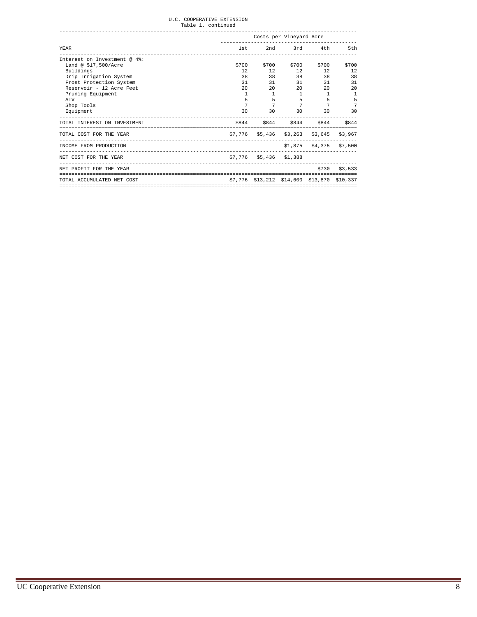|                                                                    |              |                                             | Costs per Vineyard Acre |                            |                 |
|--------------------------------------------------------------------|--------------|---------------------------------------------|-------------------------|----------------------------|-----------------|
| YEAR                                                               |              | 1st 2nd 3rd 4th                             |                         |                            | 5th             |
| Interest on Investment @ 4%:                                       |              |                                             |                         |                            |                 |
| Land @ \$17,500/Acre                                               | \$700        | \$700                                       | \$700                   | \$700                      | \$700           |
| Buildings                                                          | 12           |                                             | 12 12                   | 12                         | 12              |
| Drip Irrigation System                                             | 38           | 38 38                                       |                         | 38                         | 38              |
| Frost Protection System                                            | 31           |                                             | 31 31                   |                            | 31<br>31        |
| Reservoir - 12 Acre Feet                                           | 20           |                                             | 20                      | 20<br>20                   | 20              |
| Pruning Equipment                                                  | $\mathbf{1}$ | $\mathbf{1}$                                | $\mathbf{1}$            | $\mathbf{1}$               |                 |
| ATV                                                                | 5            | 5                                           |                         | $5 - 1$<br>5               |                 |
| Shop Tools                                                         | 7            |                                             | $7$ and $7$             | $7$ and $7$<br>7           |                 |
| Equipment                                                          |              | 30 30 30                                    |                         |                            | 30<br>30        |
| TOTAL INTEREST ON INVESTMENT<br>---------------------------------- |              | \$844 \$844 \$844 \$844 \$844               |                         |                            |                 |
| TOTAL COST FOR THE YEAR                                            |              | \$7,776 \$5,436 \$3,263 \$3,645 \$3,967     |                         |                            |                 |
| INCOME FROM PRODUCTION                                             |              |                                             |                         | $$1,875$ $$4,375$ $$7,500$ |                 |
| NET COST FOR THE YEAR                                              |              | \$7,776 \$5,436 \$1,388                     |                         |                            |                 |
| NET PROFIT FOR THE YEAR                                            |              |                                             |                         |                            | $$730$ $$3.533$ |
| TOTAL ACCUMULATED NET COST                                         |              | \$7,776 \$13,212 \$14,600 \$13,870 \$10,337 |                         |                            |                 |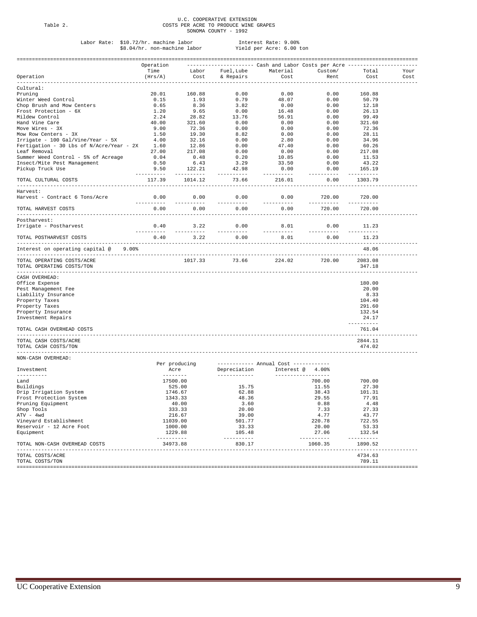# U.C. COOPERATIVE EXTENSION Table 2. COSTS PER ACRE TO PRODUCE WINE GRAPES SONOMA COUNTY - 1992

# Labor Rate: \$10.72/hr. machine labor Interest Rate: 9.00% \$8.04/hr. non-machine labor Yield per Acre: 6.00 ton

|                                                         | Operation  |                           |                              | --------------------- Cash and Labor Costs per Acre ---------- |                       |                        |      |
|---------------------------------------------------------|------------|---------------------------|------------------------------|----------------------------------------------------------------|-----------------------|------------------------|------|
|                                                         | Time       | Labor                     | Fuel, Lube                   | Material                                                       | Custom/               | Total                  | Your |
| Operation                                               | (Hrs/A)    | Cost                      | & Repairs                    | Cost                                                           | Rent                  | Cost                   | Cost |
|                                                         |            |                           |                              |                                                                |                       |                        |      |
| Cultural:                                               |            |                           |                              |                                                                |                       |                        |      |
| Pruning                                                 | 20.01      | 160.88                    | 0.00                         | 0.00                                                           | 0.00                  | 160.88                 |      |
| Winter Weed Control                                     | 0.15       | 1.93                      | 0.79                         | 48.07                                                          | 0.00                  | 50.79                  |      |
| Chop Brush and Mow Centers                              | 0.65       | 8.36                      | 3.82                         | 0.00                                                           | 0.00                  | 12.18                  |      |
| Frost Protection - 6X                                   | 1.20       | 9.65                      | 0.00                         | 16.48                                                          | 0.00                  | 26.13                  |      |
| Mildew Control                                          | 2.24       | 28.82                     | 13.76                        | 56.91                                                          | 0.00                  | 99.49                  |      |
|                                                         |            |                           |                              |                                                                |                       |                        |      |
| Hand Vine Care                                          | 40.00      | 321.60                    | 0.00                         | 0.00                                                           | 0.00                  | 321.60                 |      |
| Move Wires - 3X                                         | 9.00       | 72.36                     | 0.00                         | 0.00                                                           | 0.00                  | 72.36                  |      |
| Mow Row Centers - 3X                                    | 1.50       | 19.30                     | 8.82                         | 0.00                                                           | 0.00                  | 28.11                  |      |
| Irrigate - 100 Gal/Vine/Year - 5X                       | 4.00       | 32.16                     | 0.00                         | 2.80                                                           | 0.00                  | 34.96                  |      |
| Fertigation - 30 Lbs of N/Acre/Year - 2X 1.60           |            | 12.86                     | 0.00                         | 47.40                                                          | 0.00                  | 60.26                  |      |
|                                                         |            | 217.08                    |                              |                                                                |                       |                        |      |
| Leaf Removal                                            | 27.00      |                           | 0.00                         | 0.00                                                           | 0.00                  | 217.08                 |      |
| Summer Weed Control - 5% of Acreage                     | 0.04       | 0.48                      | 0.20                         | 10.85                                                          | 0.00                  | 11.53                  |      |
| Insect/Mite Pest Management                             | 0.50       | 6.43                      | 3.29                         | 33.50                                                          | 0.00                  | 43.22                  |      |
| Pickup Truck Use                                        | 9.50       | 122.21                    | 42.98                        | 0.00                                                           | 0.00                  | 165.19                 |      |
|                                                         | ---------- | $- - - - - - - - - - - -$ | ----------                   | ----------                                                     | ---------             | ----------             |      |
| TOTAL CULTURAL COSTS                                    | 117.39     | 1014.12                   | 73.66                        | 216.01                                                         | 0.00                  | 1303.79                |      |
| Harvest:                                                |            |                           |                              |                                                                |                       |                        |      |
| Harvest - Contract 6 Tons/Acre                          | 0.00       | 0.00                      | 0.00                         | 0.00                                                           | 720.00                | 720.00                 |      |
|                                                         | ---------- | --------                  | --------                     | ----------                                                     | ----------            | ----------             |      |
| TOTAL HARVEST COSTS<br>---------------                  | 0.00       | 0.00                      | 0.00                         | 0.00                                                           | 720.00                | 720.00                 |      |
| Postharvest:                                            |            |                           |                              |                                                                |                       |                        |      |
| Irrigate - Postharvest                                  | 0.40       | 3.22                      | 0.00                         | 8.01                                                           | 0.00                  | 11.23                  |      |
|                                                         | ---------- | $- - - - - - - - - - - -$ | ----------                   | __________                                                     | ----------            | ----------             |      |
| TOTAL POSTHARVEST COSTS                                 | 0.40       | 3.22                      | 0.00                         | 8.01                                                           | 0.00                  | 11.23                  |      |
| Interest on operating capital @<br>$9.00$ <sup>8</sup>  |            |                           |                              |                                                                |                       | 48.06                  |      |
|                                                         |            |                           |                              |                                                                |                       |                        |      |
| TOTAL OPERATING COSTS/ACRE<br>TOTAL OPERATING COSTS/TON |            | 1017.33                   | 73.66                        | 224.02                                                         | 720.00                | 2083.08<br>347.18      |      |
|                                                         |            |                           |                              |                                                                |                       |                        |      |
| CASH OVERHEAD:                                          |            |                           |                              |                                                                |                       |                        |      |
| Office Expense                                          |            |                           |                              |                                                                |                       | 180.00                 |      |
| Pest Management Fee                                     |            |                           |                              |                                                                |                       | 20.00                  |      |
| Liability Insurance                                     |            |                           |                              |                                                                |                       | 8.33                   |      |
| Property Taxes                                          |            |                           |                              |                                                                |                       | 104.40                 |      |
|                                                         |            |                           |                              |                                                                |                       | 291.60                 |      |
| Property Taxes                                          |            |                           |                              |                                                                |                       |                        |      |
| Property Insurance                                      |            |                           |                              |                                                                |                       | 132.54                 |      |
| Investment Repairs                                      |            |                           |                              |                                                                |                       | 24.17                  |      |
|                                                         |            |                           |                              |                                                                |                       | ----------             |      |
| TOTAL CASH OVERHEAD COSTS                               |            |                           |                              |                                                                |                       | 761.04                 |      |
| TOTAL CASH COSTS/ACRE                                   |            |                           |                              |                                                                |                       | 2844.11                |      |
| TOTAL CASH COSTS/TON                                    |            |                           |                              |                                                                |                       | 474.02                 |      |
| NON-CASH OVERHEAD:                                      |            |                           |                              |                                                                |                       |                        |      |
|                                                         |            | Per producing             |                              | ----------- Annual Cost -----------                            |                       |                        |      |
| Investment<br>---------                                 |            | Acre                      | Depreciation<br>------------ | Interest @ 4.00%                                               |                       |                        |      |
| Land                                                    |            | 17500.00                  |                              |                                                                | 700.00                | 700.00                 |      |
|                                                         |            | 525.00                    |                              |                                                                | 11.55                 | 27.30                  |      |
| Buildings                                               |            |                           | 15.75                        |                                                                |                       |                        |      |
| Drip Irrigation System                                  |            | 1746.67                   | 62.88                        |                                                                | 38.43                 | 101.31                 |      |
| Frost Protection System                                 |            | 1343.33                   | 48.36                        |                                                                | 29.55                 | 77.91                  |      |
| Pruning Equipment                                       |            | 40.00                     | 3.60                         |                                                                | 0.88                  | 4.48                   |      |
| Shop Tools                                              |            | 333.33                    | 20.00                        |                                                                | 7.33                  | 27.33                  |      |
| ATV - 4wd                                               |            | 216.67                    | 39.00                        |                                                                | 4.77                  | 43.77                  |      |
|                                                         |            |                           |                              |                                                                |                       |                        |      |
| Vineyard Establishment                                  |            | 11039.00                  | 501.77                       |                                                                | 220.78                | 722.55                 |      |
| Reservoir - 12 Acre Foot                                |            | 1000.00                   | 33.33                        |                                                                | 20.00                 | 53.33                  |      |
| Equipment                                               |            | 1229.88                   | 105.48                       |                                                                | 27.06                 | 132.54                 |      |
| TOTAL NON-CASH OVERHEAD COSTS                           | ---------- | 34973.88                  | ----------<br>830.17         |                                                                | ----------<br>1060.35 | -----------<br>1890.52 |      |
|                                                         |            |                           |                              |                                                                |                       |                        |      |
| TOTAL COSTS/ACRE<br>TOTAL COSTS/TON                     |            |                           |                              |                                                                |                       | 4734.63<br>789.11      |      |
|                                                         |            |                           |                              |                                                                |                       |                        |      |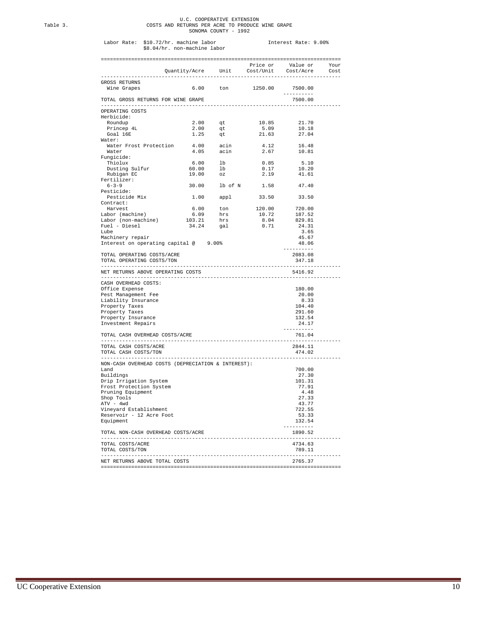# U.C. COOPERATIVE EXTENSION Table 3. COSTS AND RETURNS PER ACRE TO PRODUCE WINE GRAPE SONOMA COUNTY - 1992

# Labor Rate: \$10.72/hr. machine labor Interest Rate: 9.00% \$8.04/hr. non-machine labor

|                                                         |                                                         |                                     |                          | Price or Value or Your<br>Quantity/Acre Unit Cost/Unit Cost/Acre | Cost |
|---------------------------------------------------------|---------------------------------------------------------|-------------------------------------|--------------------------|------------------------------------------------------------------|------|
|                                                         |                                                         |                                     |                          |                                                                  |      |
| GROSS RETURNS<br>Wine Grapes                            |                                                         |                                     | 6.00 ton 1250.00 7500.00 |                                                                  |      |
| TOTAL GROSS RETURNS FOR WINE GRAPE                      |                                                         |                                     |                          | ----------<br>7500.00                                            |      |
| OPERATING COSTS<br>Herbicide:                           |                                                         |                                     |                          |                                                                  |      |
| Roundup                                                 |                                                         |                                     | 10.85                    | 21.70                                                            |      |
| Princep 4L                                              |                                                         |                                     | 5.09                     | 10.18                                                            |      |
| Goal 16E                                                |                                                         | $2.00$ qt<br>$2.00$ qt<br>$1.25$ qt | 21.63                    | 27.04                                                            |      |
| Water:                                                  |                                                         |                                     |                          |                                                                  |      |
| Water Frost Protection                                  |                                                         | $4.00$ acin<br>$4.05$ acin          | 4.12                     | 16.48                                                            |      |
| Water                                                   |                                                         |                                     | 2.67                     | 10.81                                                            |      |
| Fungicide:                                              |                                                         |                                     |                          |                                                                  |      |
| Thiolux                                                 | $6.00$ lb<br>$60.00$ lb                                 |                                     | 0.85                     | 5.10                                                             |      |
| Dusting Sulfur                                          |                                                         |                                     | 0.17                     | 10.20                                                            |      |
| Rubigan EC                                              | 19.00 oz                                                |                                     | 2.19                     | 41.61                                                            |      |
| Fertilizer:                                             |                                                         |                                     |                          |                                                                  |      |
| $6 - 3 - 9$                                             |                                                         |                                     | 30.00 lb of N 1.58 47.40 |                                                                  |      |
| Pesticide:<br>Pesticide Mix                             |                                                         | 1.00 appl                           | 33.50                    | 33.50                                                            |      |
| Contract:                                               |                                                         |                                     |                          |                                                                  |      |
| Harvest                                                 |                                                         |                                     | 120.00                   | 720.00                                                           |      |
| Harvest<br>Labor (machine)<br>Labor (non-machine)       | $6.00$ ton<br>$6.09$ hrs<br>$103.21$ hrs<br>$34.24$ gal |                                     | 10.72                    | 187.52                                                           |      |
|                                                         |                                                         |                                     | 8.04                     | 829.81                                                           |      |
| Fuel - Diesel                                           |                                                         |                                     | 0.71                     | 24.31                                                            |      |
| Lube                                                    |                                                         |                                     |                          | 3.65                                                             |      |
| Machinery repair                                        |                                                         |                                     |                          | 45.67                                                            |      |
| Interest on operating capital @ 9.00%                   |                                                         |                                     |                          | 48.06                                                            |      |
|                                                         |                                                         |                                     |                          | ----------                                                       |      |
| TOTAL OPERATING COSTS/ACRE<br>TOTAL OPERATING COSTS/TON |                                                         |                                     |                          | 2083.08<br>347.18                                                |      |
| NET RETURNS ABOVE OPERATING COSTS                       |                                                         |                                     |                          | ----------<br>5416.92                                            |      |
| CASH OVERHEAD COSTS:                                    |                                                         |                                     |                          |                                                                  |      |
| Office Expense                                          |                                                         |                                     |                          | 180.00                                                           |      |
| Pest Management Fee                                     |                                                         |                                     |                          | 20.00                                                            |      |
| Liability Insurance                                     |                                                         |                                     |                          | 8.33                                                             |      |
| Property Taxes                                          |                                                         |                                     |                          | 104.40                                                           |      |
| Property Taxes                                          |                                                         |                                     |                          | 291.60                                                           |      |
| Property Insurance                                      |                                                         |                                     |                          | 132.54                                                           |      |
| Investment Repairs                                      |                                                         |                                     |                          | 24.17                                                            |      |
|                                                         |                                                         |                                     |                          | ----------                                                       |      |
| TOTAL CASH OVERHEAD COSTS/ACRE                          |                                                         |                                     |                          | 761.04<br>--------------                                         |      |
| TOTAL CASH COSTS/ACRE                                   |                                                         |                                     |                          | 2844.11                                                          |      |
| TOTAL CASH COSTS/TON                                    |                                                         | ------------------------            |                          | 474.02                                                           |      |
| NON-CASH OVERHEAD COSTS (DEPRECIATION & INTEREST):      |                                                         |                                     |                          |                                                                  |      |
| Land                                                    |                                                         |                                     |                          | 700.00                                                           |      |
| Buildings                                               |                                                         |                                     |                          | 27.30                                                            |      |
| Drip Irrigation System                                  |                                                         |                                     |                          | 101.31                                                           |      |
| Frost Protection System                                 |                                                         |                                     |                          | 77.91                                                            |      |
| Pruning Equipment                                       |                                                         |                                     |                          | 4.48                                                             |      |
| Shop Tools                                              |                                                         |                                     |                          | 27.33                                                            |      |
| ATV - 4wd                                               |                                                         |                                     |                          | 43.77                                                            |      |
| Vineyard Establishment                                  |                                                         |                                     |                          | 722.55                                                           |      |
| Reservoir - 12 Acre Foot                                |                                                         |                                     |                          | 53.33                                                            |      |
| Equipment                                               |                                                         |                                     |                          | 132.54<br>--------                                               |      |
| TOTAL NON-CASH OVERHEAD COSTS/ACRE<br>------------      |                                                         |                                     |                          | 1890.52                                                          |      |
| TOTAL COSTS/ACRE                                        |                                                         |                                     |                          | 4734.63                                                          |      |
| TOTAL COSTS/TON                                         |                                                         |                                     |                          | 789.11                                                           |      |
| NET RETURNS ABOVE TOTAL COSTS                           |                                                         |                                     |                          | . <u>.</u> .<br>2765.37                                          |      |
|                                                         |                                                         |                                     |                          |                                                                  |      |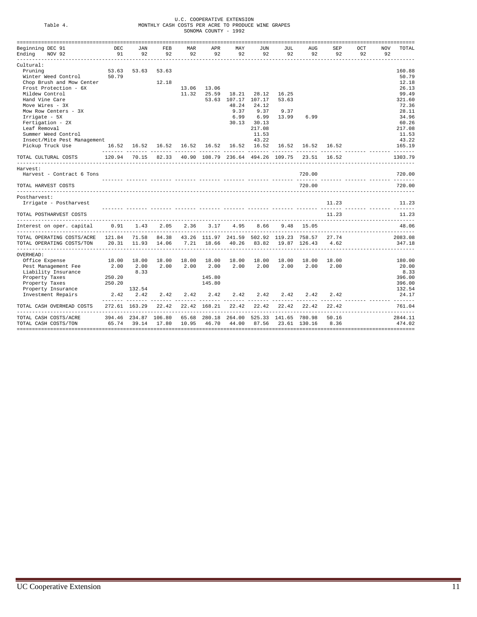|                                                                                      |            |                      |                                                    |       | U.C. COOPERATIVE EXTENSION |                     |                      |       |                                                                  |       |     |            |                 |
|--------------------------------------------------------------------------------------|------------|----------------------|----------------------------------------------------|-------|----------------------------|---------------------|----------------------|-------|------------------------------------------------------------------|-------|-----|------------|-----------------|
| Table 4.                                                                             |            |                      | MONTHLY CASH COSTS PER ACRE TO PRODUCE WINE GRAPES |       | SONOMA COUNTY - 1992       |                     |                      |       |                                                                  |       |     |            |                 |
|                                                                                      |            |                      |                                                    |       |                            |                     |                      |       |                                                                  |       |     |            |                 |
| Beginning DEC 91                                                                     | <b>DEC</b> | JAN                  | FEB                                                | MAR   | APR                        | MAY                 | JUN                  | JUL   | <b>AUG</b>                                                       | SEP   | OCT | <b>NOV</b> | TOTAL           |
| Ending NOV 92                                                                        | 91         | 92                   | 92                                                 | 92    | 92                         | 92                  | 92                   | 92    | 92                                                               | 92    | 92  | 92         |                 |
| Cultural:                                                                            |            |                      |                                                    |       |                            |                     |                      |       |                                                                  |       |     |            |                 |
| Pruning                                                                              | 53.63      | 53.63                | 53.63                                              |       |                            |                     |                      |       |                                                                  |       |     |            | 160.88          |
| Winter Weed Control                                                                  | 50.79      |                      |                                                    |       |                            |                     |                      |       |                                                                  |       |     |            | 50.79           |
| Chop Brush and Mow Center                                                            |            |                      | 12.18                                              |       |                            |                     |                      |       |                                                                  |       |     |            | 12.18           |
| Frost Protection - 6X                                                                |            |                      |                                                    | 13.06 | 13.06                      |                     |                      |       |                                                                  |       |     |            | 26.13           |
| Mildew Control                                                                       |            |                      |                                                    | 11.32 | 25.59                      | 18.21               | 28.12                | 16.25 |                                                                  |       |     |            | 99.49           |
| Hand Vine Care                                                                       |            |                      |                                                    |       |                            | 53.63 107.17 107.17 |                      | 53.63 |                                                                  |       |     |            | 321.60          |
| Move Wires - 3X                                                                      |            |                      |                                                    |       |                            | 48.24               | 24.12                |       |                                                                  |       |     |            | 72.36           |
| Mow Row Centers - 3X                                                                 |            |                      |                                                    |       |                            | 9.37                | 9.37                 | 9.37  |                                                                  |       |     |            | 28.11           |
| Irrigate - 5X                                                                        |            |                      |                                                    |       |                            | 6.99                | 6.99                 | 13.99 | 6.99                                                             |       |     |            | 34.96           |
| Fertigation - 2X                                                                     |            |                      |                                                    |       |                            | 30.13               | 30.13                |       |                                                                  |       |     |            | 60.26           |
| Leaf Removal                                                                         |            |                      |                                                    |       |                            |                     | 217.08               |       |                                                                  |       |     |            | 217.08          |
| Summer Weed Control                                                                  |            |                      |                                                    |       |                            |                     | 11.53                |       |                                                                  |       |     |            | 11.53           |
| Insect/Mite Pest Management                                                          |            |                      | 16.52 16.52 16.52 16.52 16.52                      |       |                            |                     | 43.22<br>16.52 16.52 |       | 16.52 16.52 16.52                                                |       |     |            | 43.22<br>165.19 |
| Pickup Truck Use                                                                     |            |                      |                                                    |       |                            |                     |                      |       |                                                                  |       |     |            |                 |
| TOTAL CULTURAL COSTS                                                                 |            |                      |                                                    |       |                            |                     |                      |       | 120.94 70.15 82.33 40.90 108.79 236.64 494.26 109.75 23.51 16.52 |       |     |            | 1303.79         |
| Harvest:                                                                             |            |                      |                                                    |       |                            |                     |                      |       |                                                                  |       |     |            |                 |
| Harvest - Contract 6 Tons                                                            |            |                      |                                                    |       |                            |                     |                      |       | 720.00                                                           |       |     |            | 720.00          |
| TOTAL HARVEST COSTS                                                                  |            |                      |                                                    |       |                            |                     |                      |       | 720.00                                                           |       |     |            | 720.00          |
| Postharvest:                                                                         |            |                      |                                                    |       |                            |                     |                      |       |                                                                  |       |     |            |                 |
| Irrigate - Postharvest                                                               |            |                      |                                                    |       |                            |                     |                      |       |                                                                  | 11.23 |     |            | 11.23           |
|                                                                                      |            |                      |                                                    |       |                            |                     |                      |       |                                                                  |       |     |            |                 |
| TOTAL POSTHARVEST COSTS                                                              |            |                      |                                                    |       |                            |                     |                      |       |                                                                  | 11.23 |     |            | 11.23           |
| Interest on oper. capital                                                            |            | $0.91$ 1.43          | 2.05                                               | 2.36  | 3.17                       | 4.95                | 8.66                 |       | 9.48 15.05                                                       |       |     |            | 48.06           |
| TOTAL OPERATING COSTS/ACRE 121.84                                                    |            |                      |                                                    |       |                            |                     |                      |       | 71.58 84.38 43.26 111.97 241.59 502.92 119.23 758.57 27.74       |       |     |            | 2083.08         |
| TOTAL OPERATING COSTS/TON 20.31 11.93 14.06 7.21 18.66 40.26 83.82 19.87 126.43 4.62 |            |                      |                                                    |       |                            |                     |                      |       |                                                                  |       |     |            | 347.18          |
| OVERHEAD:                                                                            |            |                      |                                                    |       |                            |                     |                      |       |                                                                  |       |     |            |                 |
| Office Expense                                                                       | 18.00      | 18.00                | 18.00                                              | 18.00 | 18.00                      | 18.00               | 18.00                | 18.00 | 18.00                                                            | 18.00 |     |            | 180.00          |
| Pest Management Fee                                                                  | 2.00       | 2.00                 | 2.00                                               | 2.00  | 2.00                       | 2.00                | 2.00                 | 2.00  | 2.00                                                             | 2.00  |     |            | 20.00           |
| Liability Insurance                                                                  |            | 8.33                 |                                                    |       |                            |                     |                      |       |                                                                  |       |     |            | 8.33            |
| Property Taxes                                                                       | 250.20     |                      |                                                    |       | 145.80                     |                     |                      |       |                                                                  |       |     |            | 396.00          |
| Property Taxes                                                                       | 250.20     |                      |                                                    |       | 145.80                     |                     |                      |       |                                                                  |       |     |            | 396.00          |
| Property Insurance                                                                   |            | 132.54               |                                                    |       |                            |                     |                      |       |                                                                  |       |     |            | 132.54          |
| Investment Repairs                                                                   |            |                      | 2.42 2.42 2.42 2.42                                |       | 2.42                       | 2.42                | 2.42                 | 2.42  | 2.42                                                             | 2.42  |     |            | 24.17           |
| TOTAL CASH OVERHEAD COSTS                                                            |            |                      | 272.61 163.29 22.42 22.42 168.21                   |       |                            |                     |                      |       | 22.42 22.42 22.42 22.42                                          | 22.42 |     |            | 761.04          |
| TOTAL CASH COSTS/ACRE                                                                |            | 394.46 234.87 106.80 |                                                    |       |                            |                     |                      |       | 65.68 280.18 264.00 525.33 141.65 780.98                         | 50.16 |     |            | 2844.11         |
| TOTAL CASH COSTS/TON                                                                 |            | 65.74 39.14 17.80    |                                                    |       | 10.95 46.70                | 44.00               |                      |       | 87.56 23.61 130.16 8.36                                          |       |     |            | 474.02          |
|                                                                                      |            |                      |                                                    |       |                            |                     |                      |       |                                                                  |       |     |            |                 |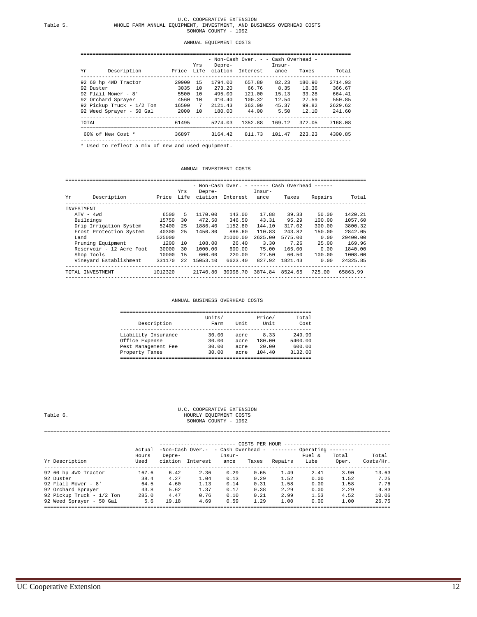#### ANNUAL EQUIPMENT COSTS

#### ========================================================================================= - Non-Cash Over. - - Cash Overhead -

| Description<br>Yr.               |          | Yrs | 11011 CUDII OVCI.<br>Depre- | Price Life ciation Interest | CUDII OVCIIICUM<br>Insur-<br>ance | Taxes  | Total   |
|----------------------------------|----------|-----|-----------------------------|-----------------------------|-----------------------------------|--------|---------|
| 92 60 hp 4WD Tractor             | 29900 15 |     | 1794.00                     | 657.80                      | 82.23                             | 180.90 | 2714.93 |
| 92 Duster                        | 3035 10  |     | 273.20                      | 66.76                       | 8.35                              | 18.36  | 366.67  |
| 92 Flail Mower - 8'              | 5500     | 10  | 495.00                      | 121.00                      | 15.13                             | 33.28  | 664.41  |
| 92 Orchard Sprayer               | 4560     | 10  | 410.40                      | 100.32                      | 12.54                             | 27.59  | 550.85  |
| 92 Pickup Truck - 1/2 Ton        | 16500 7  |     | 2121.43                     | 363.00                      | 45.37                             | 99.82  | 2629.62 |
| 92 Weed Sprayer - 50 Gal 2000 10 |          |     |                             | 180.00 44.00                | 5.50                              | 12.10  | 241.60  |
| TOTAL                            | 61495    |     | 5274.03                     | 1352.88 169.12              |                                   | 372.05 | 7168.08 |
| 60% of New Cost * 36897          |          |     |                             | 3164.42 811.73 101.47       |                                   | 223.23 | 4300.85 |

#### ANNUAL INVESTMENT COSTS

#### =================================================================================================== - Non-Cash Over. - ------ Cash Overhead ------ Yrs Depre- Insur-

| Yr         | Description              | Price   | 1 r s | vepre-<br>Life ciation | Interest | insur-<br>ance | Taxes   | Repairs | Total    |
|------------|--------------------------|---------|-------|------------------------|----------|----------------|---------|---------|----------|
| INVESTMENT |                          |         |       |                        |          |                |         |         |          |
|            | $ATV - 4wd$              | 6500    | 5.    | 1170.00                | 143.00   | 17.88          | 39.33   | 50.00   | 1420.21  |
|            | Buildings                | 15750   | 30    | 472.50                 | 346.50   | 43.31          | 95.29   | 100.00  | 1057.60  |
|            | Drip Irrigation System   | 52400   | 25    | 1886.40                | 1152.80  | 144.10         | 317.02  | 300.00  | 3800.32  |
|            | Frost Protection System  | 40300   | 25    | 1450.80                | 886.60   | 110.83         | 243.82  | 150.00  | 2842.05  |
| Land       |                          | 525000  |       |                        | 21000.00 | 2625.00        | 5775.00 | 0.00    | 29400.00 |
|            | Pruning Equipment        | 1200    | 10    | 108.00                 | 26.40    | 3.30           | 7.26    | 25.00   | 169.96   |
|            | Reservoir - 12 Acre Foot | 30000   | 30    | 1000.00                | 600.00   | 75.00          | 165.00  | 0.00    | 1840.00  |
|            | Shop Tools               | 10000   | 1.5   | 600.00                 | 220.00   | 27.50          | 60.50   | 100.00  | 1008.00  |
|            | Vineyard Establishment   | 331170  | 22    | 15053.10               | 6623.40  | 827.92         | 1821.43 | 0.00    | 24325.85 |
|            | TOTAL INVESTMENT         | 1012320 |       | 21740.80               | 30998.70 | 3874.84        | 8524.65 | 725.00  | 65863.99 |
|            |                          |         |       |                        |          |                |         |         |          |

ANNUAL BUSINESS OVERHEAD COSTS

| Units/<br>Farm | Unit | Price/<br>Unit | Total<br>Cost |
|----------------|------|----------------|---------------|
| 30.00          | acre | 8.33           | 249.90        |
| 30.00          | acre | 180.00         | 5400.00       |
| 30.00          | acre | 20.00          | 600.00        |
| 30.00          | acre | 104.40         | 3132.00       |
|                |      |                |               |

U.C. COOPERATIVE EXTENSION Table 6.  $$\tt U.C.$  COOPERATIVE EXTENSION HOURLY EQUIPMENT COSTS Table 6. HOURLY EQUIPMENT COSTS SONOMA COUNTY - 1992

==================================================================================================================

|                           | $-Non-Cash Over. - cash Over. - Cash Overhead - --- Over.$<br>Actual<br>Fuel &<br>Total<br>Depre-<br>Insur-<br>Hours |         |          |      |       |         |      |       | Total     |  |
|---------------------------|----------------------------------------------------------------------------------------------------------------------|---------|----------|------|-------|---------|------|-------|-----------|--|
| Yr Description            | Used                                                                                                                 | ciation | Interest | ance | Taxes | Repairs | Lube | Oper. | Costs/Hr. |  |
| 92 60 hp 4WD Tractor      | 167.6                                                                                                                | 6.42    | 2.36     | 0.29 | 0.65  | 1.49    | 2.41 | 3.90  | 13.63     |  |
| 92 Duster                 | 38.4                                                                                                                 | 4.27    | 1.04     | 0.13 | 0.29  | 1.52    | 0.00 | 1.52  | 7.25      |  |
| 92 Flail Mower - 8'       | 64.5                                                                                                                 | 4.60    | 1.13     | 0.14 | 0.31  | 1.58    | 0.00 | 1.58  | 7.76      |  |
| 92 Orchard Sprayer        | 43.8                                                                                                                 | 5.62    | 1.37     | 0.17 | 0.38  | 2.29    | 0.00 | 2.29  | 9.83      |  |
| 92 Pickup Truck - 1/2 Ton | 285.0                                                                                                                | 4.47    | 0.76     | 0.10 | 0.21  | 2.99    | 1.53 | 4.52  | 10.06     |  |
| 92 Weed Sprayer - 50 Gal  | 5.6                                                                                                                  | 19.18   | 4.69     | 0.59 | 1.29  | 1.00    | 0.00 | 1.00  | 26.75     |  |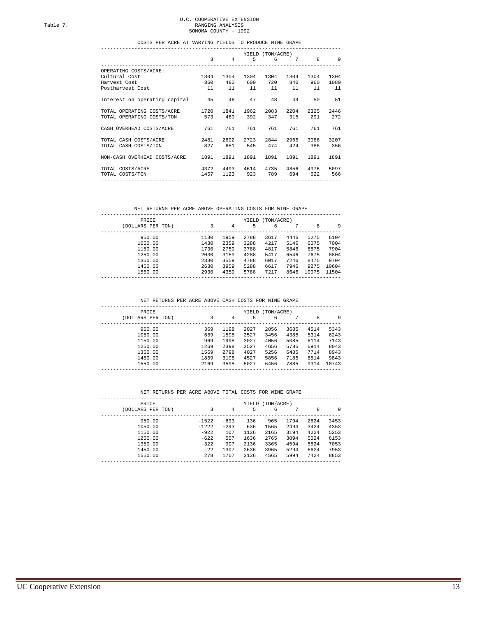# U.C. COOPERATIVE EXTENSION Table 7. RANGING ANALYSIS SONOMA COUNTY - 1992

## COSTS PER ACRE AT VARYING YIELDS TO PRODUCE WINE GRAPE

|                                  |                |                |          | YIELD (TON/ACRE) |         |       |      |
|----------------------------------|----------------|----------------|----------|------------------|---------|-------|------|
|                                  | $\overline{3}$ | $\overline{4}$ | 5        | 6                |         | 7 8 9 |      |
| OPERATING COSTS/ACRE:            |                |                |          |                  |         |       |      |
| Cultural Cost                    | 1304           | 1304           | 1304     | 1304             | 1304    | 1304  | 1304 |
| Harvest Cost                     | 360            | 480            | 600      | 720              | 840     | 960   | 1080 |
| Postharvest Cost                 | 11             | 11             | 11       | 11               | 11      | 11    | 11   |
| Interest on operating capital 45 |                | 46             | 47       | 48               | 49      | 50    | 51   |
| TOTAL OPERATING COSTS/ACRE       | 1720           | 1841           | 1962     | 2083             | 2204    | 2325  | 2446 |
| TOTAL OPERATING COSTS/TON        | 573            | 460            | 392      | 347              | 315     | 291   | 272  |
| CASH OVERHEAD COSTS/ACRE         | 761            | 761            | 761      | 761              | 761     | 761   | 761  |
| TOTAL CASH COSTS/ACRE            | 2481           | 2602           | 2723     | 2844             | 2965    | 3086  | 3207 |
| TOTAL CASH COSTS/TON             | 827            | 651            | 545      | 474              | 424     | 386   | 356  |
| NON-CASH OVERHEAD COSTS/ACRE     | 1891           | 1891           | 1891     | 1891             | 1891    | 1891  | 1891 |
| 4372<br>TOTAL COSTS/ACRE         |                | 4493           | 4614     | 4735             | 4856    | 4976  | 5097 |
| TOTAL COSTS/TON                  | 1457           |                | 1123 923 |                  | 789 694 | 622   | 566  |
|                                  |                |                |          |                  |         |       |      |

|  | URNS | PER | ACRE | ABOVE . | OPERATING COSTS | FOR | <b>WINE</b> |  |
|--|------|-----|------|---------|-----------------|-----|-------------|--|
|  |      |     |      |         |                 |     |             |  |

| <b>PRTCE</b>      | (TON/ACRE)<br>YIELD |      |      |      |      |       |       |
|-------------------|---------------------|------|------|------|------|-------|-------|
| (DOLLARS PER TON) | 3                   | 4    | 5    | 6    |      | 8     | 9     |
| 950.00            | 1130                | 1959 | 2788 | 3617 | 4446 | 5275  | 6104  |
| 1050.00           | 1430                | 2359 | 3288 | 4217 | 5146 | 6075  | 7004  |
| 1150.00           | 1730                | 2759 | 3788 | 4817 | 5846 | 6875  | 7904  |
| 1250.00           | 2030                | 3159 | 4288 | 5417 | 6546 | 7675  | 8804  |
| 1350.00           | 2330                | 3559 | 4788 | 6017 | 7246 | 8475  | 9704  |
| 1450.00           | 2630                | 3959 | 5288 | 6617 | 7946 | 9275  | 10604 |
| 1550.00           | 2930                | 4359 | 5788 | 7217 | 8646 | 10075 | 11504 |
|                   |                     |      |      |      |      |       |       |

NET RETURNS PER ACRE ABOVE CASH COSTS FOR WINE GRAPE

| <b>PRTCE</b>      | (TON/ACRE)<br>YIELD |      |      |      |      |      |       |
|-------------------|---------------------|------|------|------|------|------|-------|
| (DOLLARS PER TON) | 3                   | 4    | 5    | 6    |      | 8    | 9     |
| 950.00            | 369                 | 1198 | 2027 | 2856 | 3685 | 4514 | 5343  |
| 1050.00           | 669                 | 1598 | 2527 | 3456 | 4385 | 5314 | 6243  |
| 1150.00           | 969                 | 1998 | 3027 | 4056 | 5085 | 6114 | 7143  |
| 1250.00           | 1269                | 2398 | 3527 | 4656 | 5785 | 6914 | 8043  |
| 1350.00           | 1569                | 2798 | 4027 | 5256 | 6485 | 7714 | 8943  |
| 1450.00           | 1869                | 3198 | 4527 | 5856 | 7185 | 8514 | 9843  |
| 1550.00           | 2169                | 3598 | 5027 | 6456 | 7885 | 9314 | 10743 |

|  | TRN C<br>$-$ | PER | ACRE | ABOVE | TOTAL COSTS 1 | FOR | <b>WINE</b> |  |
|--|--------------|-----|------|-------|---------------|-----|-------------|--|
|  |              |     |      |       |               |     |             |  |

| PRICE             | (TON/ACRE)<br>YIELD |        |      |      |      |      |      |
|-------------------|---------------------|--------|------|------|------|------|------|
| (DOLLARS PER TON) |                     | 4      | 5    | 6    |      | 8    | 9    |
| 950.00            | $-1522$             | $-693$ | 136  | 965  | 1794 | 2624 | 3453 |
| 1050.00           | $-1222$             | $-293$ | 636  | 1565 | 2494 | 3424 | 4353 |
| 1150.00           | $-922$              | 107    | 1136 | 2165 | 3194 | 4224 | 5253 |
| 1250.00           | $-622$              | 507    | 1636 | 2765 | 3894 | 5024 | 6153 |
| 1350.00           | $-322$              | 907    | 2136 | 3365 | 4594 | 5824 | 7053 |
| 1450.00           | $-22$               | 1307   | 2636 | 3965 | 5294 | 6624 | 7953 |
| 1550.00           | 278                 | 1707   | 3136 | 4565 | 5994 | 7424 | 8853 |
|                   |                     |        |      |      |      |      |      |